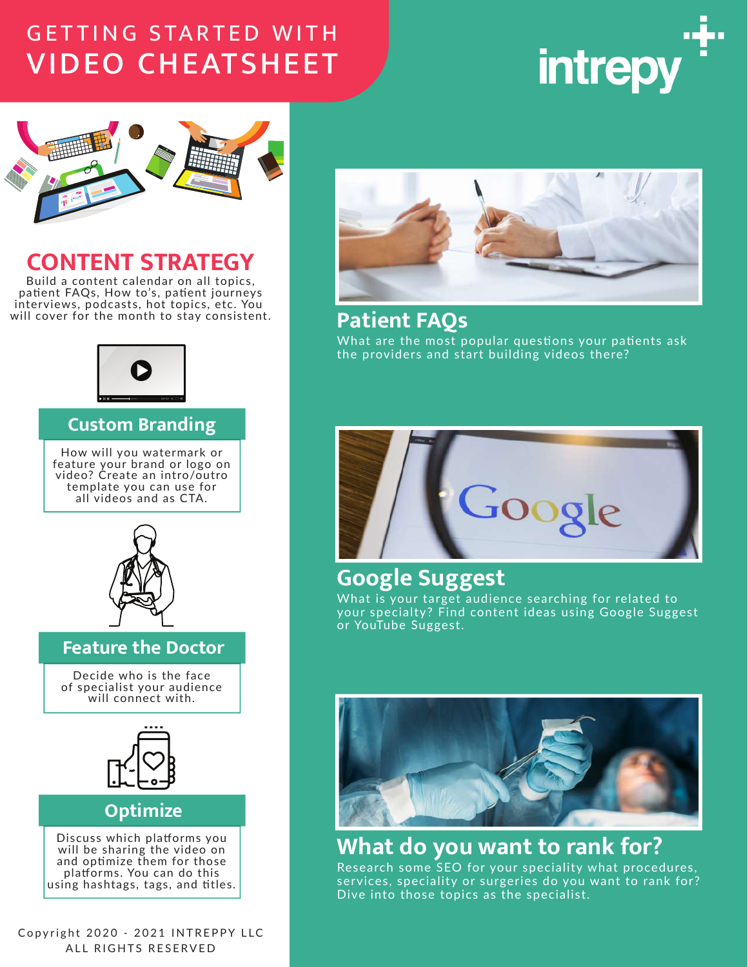# **GETTING STARTED WITH VIDEO CHEATSHEET**





# **CONTENT STRATEGY**

Build a content calendar on all topics, patient FAQs, How to's, patient journeys interviews, podcasts, hot topics, etc. You will cover for the month to stay consistent.



#### **Custom Branding**

How will you watermark or feature your brand or logo on video? Create an intro/outro template you can use for all videos and as CTA.



#### **Feature the Doctor**

Decide who is the face of specialist your audience will connect with.



#### **Optimize**

Discuss which platforms you will be sharing the video on and optimize them for those platforms. You can do this using hashtags, tags, and titles.

Copyright 2020 - 2021 INTREPPY LLC ALL RIGHTS RESERVED



## **Patient FAOs**

What are the most popular questions your patients ask the providers and start building videos there?



# **Google Suggest**

What is your target audience searching for related to your specialty? Find content ideas using Google Suggest or YouTube Suggest.



# What do you want to rank for?

Research some SEO for your speciality what procedures, services, speciality or surgeries do you want to rank for? Dive into those topics as the specialist.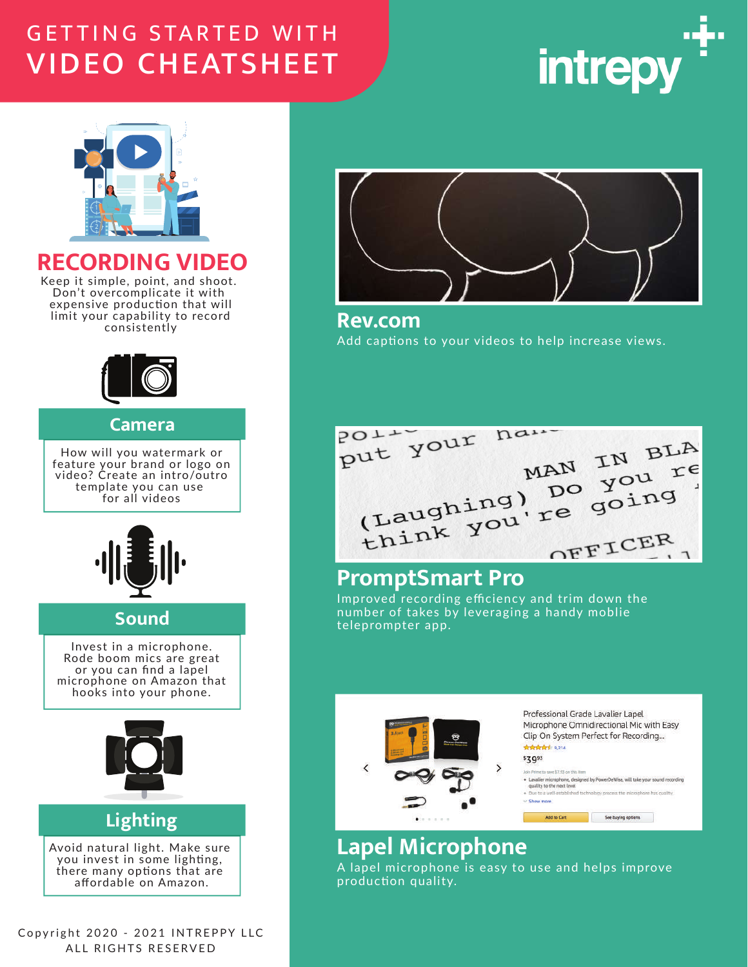# **GETTING STARTED WITH VIDEO CHEATSHEET**





## **RECORDING VIDEO**

Keep it simple, point, and shoot. Don't overcomplicate it with expensive production that will limit your capability to record consistently



#### Camera

How will you watermark or feature your brand or logo on video? Create an intro/outro template you can use for all videos



### **Sound**

Invest in a microphone. Rode boom mics are great or you can find a lapel microphone on Amazon that hooks into your phone.



## **Lighting**

Avoid natural light. Make sure you invest in some lighting, there many options that are affordable on Amazon.

Copyright 2020 - 2021 INTREPPY LLC ALL RIGHTS RESERVED



**Rev.com** Add captions to your videos to help increase views.

put your name MAN IN BLA<br>(Laughing) Do you re<br>think you're going OFFICER

# **PromptSmart Pro**

Improved recording efficiency and trim down the number of takes by leveraging a handy moblie teleprompter app.



# **Lapel Microphone**

A lapel microphone is easy to use and helps improve production quality.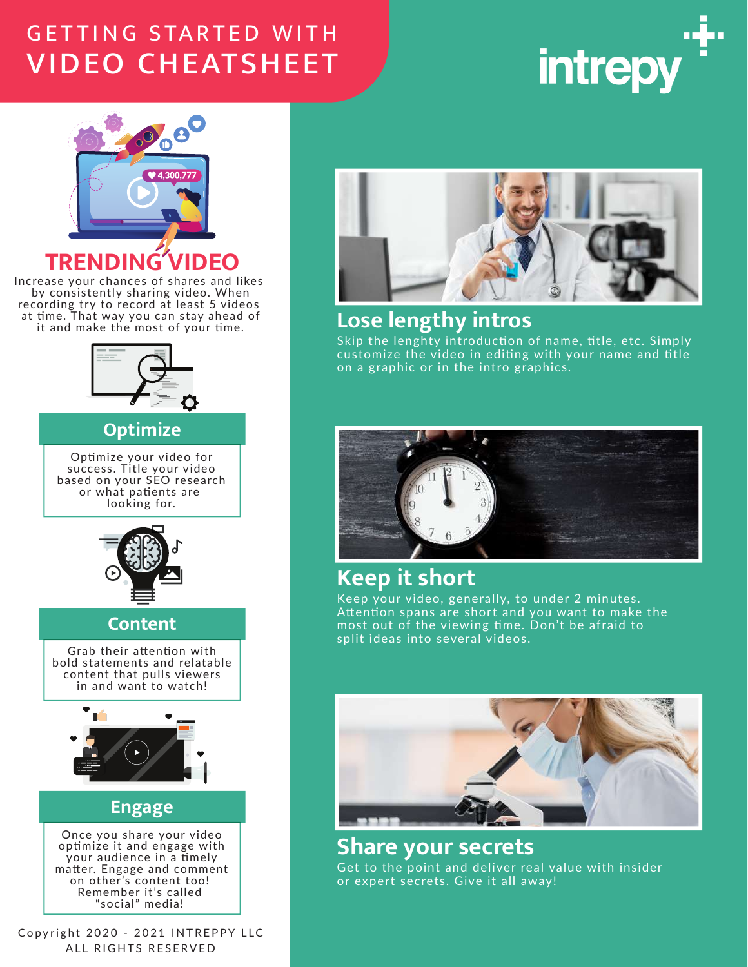# **GETTING STARTED WITH VIDEO CHEATSHEET**





Increase your chances of shares and likes by consistently sharing video. When recording try to record at least 5 videos<br>at time. That way you can stay ahead of it and make the most of your time.



#### **Optimize**

Optimize your video for success. Title your video<br>based on your SEO research or what patients are looking for.



### **Content**

Grab their attention with bold statements and relatable content that pulls viewers in and want to watch!



### **Engage**

Once you share your video optimize it and engage with your audience in a timely matter. Engage and comment on other's content too! Remember it's called social" medial

Copyright 2020 - 2021 INTREPPY LLC ALL RIGHTS RESERVED



# Lose lengthy intros

Skip the lenghty introduction of name, title, etc. Simply customize the video in editing with your name and title on a graphic or in the intro graphics.



# **Keep it short**

Keep your video, generally, to under 2 minutes. Attention spans are short and you want to make the<br>most out of the viewing time. Don't be afraid to split ideas into several videos.



**Share your secrets** Get to the point and deliver real value with insider or expert secrets. Give it all away!